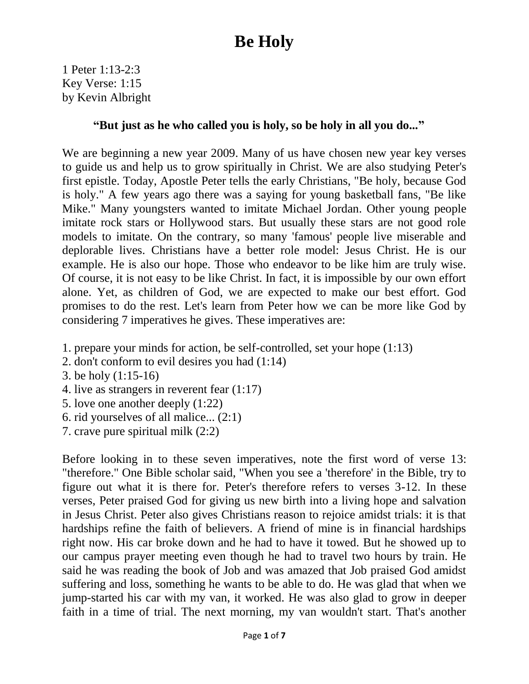1 Peter 1:13-2:3 Key Verse: 1:15 by Kevin Albright

#### **"But just as he who called you is holy, so be holy in all you do..."**

We are beginning a new year 2009. Many of us have chosen new year key verses to guide us and help us to grow spiritually in Christ. We are also studying Peter's first epistle. Today, Apostle Peter tells the early Christians, "Be holy, because God is holy." A few years ago there was a saying for young basketball fans, "Be like Mike." Many youngsters wanted to imitate Michael Jordan. Other young people imitate rock stars or Hollywood stars. But usually these stars are not good role models to imitate. On the contrary, so many 'famous' people live miserable and deplorable lives. Christians have a better role model: Jesus Christ. He is our example. He is also our hope. Those who endeavor to be like him are truly wise. Of course, it is not easy to be like Christ. In fact, it is impossible by our own effort alone. Yet, as children of God, we are expected to make our best effort. God promises to do the rest. Let's learn from Peter how we can be more like God by considering 7 imperatives he gives. These imperatives are:

- 1. prepare your minds for action, be self-controlled, set your hope (1:13)
- 2. don't conform to evil desires you had (1:14)
- 3. be holy (1:15-16)
- 4. live as strangers in reverent fear (1:17)
- 5. love one another deeply (1:22)
- 6. rid yourselves of all malice... (2:1)
- 7. crave pure spiritual milk (2:2)

Before looking in to these seven imperatives, note the first word of verse 13: "therefore." One Bible scholar said, "When you see a 'therefore' in the Bible, try to figure out what it is there for. Peter's therefore refers to verses 3-12. In these verses, Peter praised God for giving us new birth into a living hope and salvation in Jesus Christ. Peter also gives Christians reason to rejoice amidst trials: it is that hardships refine the faith of believers. A friend of mine is in financial hardships right now. His car broke down and he had to have it towed. But he showed up to our campus prayer meeting even though he had to travel two hours by train. He said he was reading the book of Job and was amazed that Job praised God amidst suffering and loss, something he wants to be able to do. He was glad that when we jump-started his car with my van, it worked. He was also glad to grow in deeper faith in a time of trial. The next morning, my van wouldn't start. That's another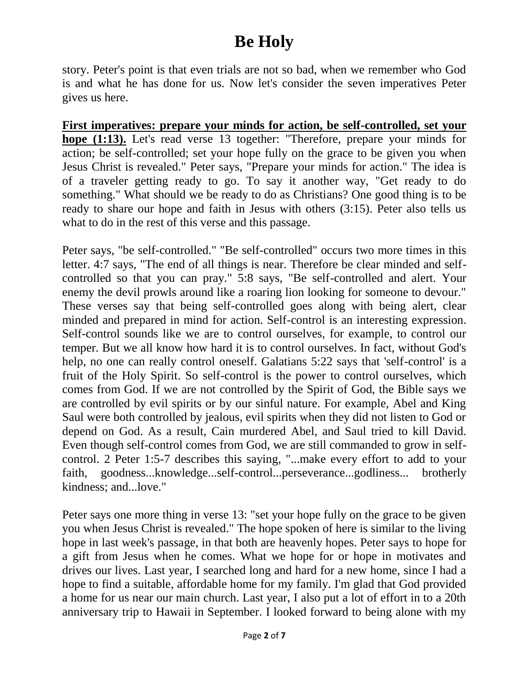story. Peter's point is that even trials are not so bad, when we remember who God is and what he has done for us. Now let's consider the seven imperatives Peter gives us here.

**First imperatives: prepare your minds for action, be self-controlled, set your hope (1:13).** Let's read verse 13 together: "Therefore, prepare your minds for action; be self-controlled; set your hope fully on the grace to be given you when Jesus Christ is revealed." Peter says, "Prepare your minds for action." The idea is of a traveler getting ready to go. To say it another way, "Get ready to do something." What should we be ready to do as Christians? One good thing is to be ready to share our hope and faith in Jesus with others (3:15). Peter also tells us what to do in the rest of this verse and this passage.

Peter says, "be self-controlled." "Be self-controlled" occurs two more times in this letter. 4:7 says, "The end of all things is near. Therefore be clear minded and selfcontrolled so that you can pray." 5:8 says, "Be self-controlled and alert. Your enemy the devil prowls around like a roaring lion looking for someone to devour." These verses say that being self-controlled goes along with being alert, clear minded and prepared in mind for action. Self-control is an interesting expression. Self-control sounds like we are to control ourselves, for example, to control our temper. But we all know how hard it is to control ourselves. In fact, without God's help, no one can really control oneself. Galatians 5:22 says that 'self-control' is a fruit of the Holy Spirit. So self-control is the power to control ourselves, which comes from God. If we are not controlled by the Spirit of God, the Bible says we are controlled by evil spirits or by our sinful nature. For example, Abel and King Saul were both controlled by jealous, evil spirits when they did not listen to God or depend on God. As a result, Cain murdered Abel, and Saul tried to kill David. Even though self-control comes from God, we are still commanded to grow in selfcontrol. 2 Peter 1:5-7 describes this saying, "...make every effort to add to your faith, goodness...knowledge...self-control...perseverance...godliness... brotherly kindness; and...love."

Peter says one more thing in verse 13: "set your hope fully on the grace to be given you when Jesus Christ is revealed." The hope spoken of here is similar to the living hope in last week's passage, in that both are heavenly hopes. Peter says to hope for a gift from Jesus when he comes. What we hope for or hope in motivates and drives our lives. Last year, I searched long and hard for a new home, since I had a hope to find a suitable, affordable home for my family. I'm glad that God provided a home for us near our main church. Last year, I also put a lot of effort in to a 20th anniversary trip to Hawaii in September. I looked forward to being alone with my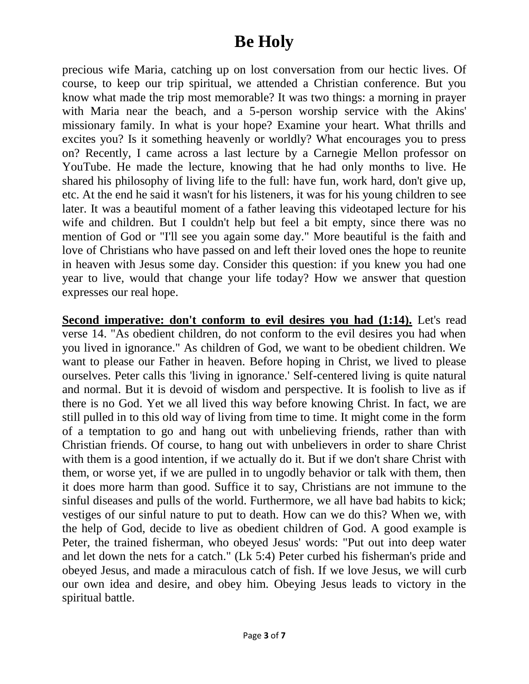precious wife Maria, catching up on lost conversation from our hectic lives. Of course, to keep our trip spiritual, we attended a Christian conference. But you know what made the trip most memorable? It was two things: a morning in prayer with Maria near the beach, and a 5-person worship service with the Akins' missionary family. In what is your hope? Examine your heart. What thrills and excites you? Is it something heavenly or worldly? What encourages you to press on? Recently, I came across a last lecture by a Carnegie Mellon professor on YouTube. He made the lecture, knowing that he had only months to live. He shared his philosophy of living life to the full: have fun, work hard, don't give up, etc. At the end he said it wasn't for his listeners, it was for his young children to see later. It was a beautiful moment of a father leaving this videotaped lecture for his wife and children. But I couldn't help but feel a bit empty, since there was no mention of God or "I'll see you again some day." More beautiful is the faith and love of Christians who have passed on and left their loved ones the hope to reunite in heaven with Jesus some day. Consider this question: if you knew you had one year to live, would that change your life today? How we answer that question expresses our real hope.

**Second imperative: don't conform to evil desires you had (1:14).** Let's read verse 14. "As obedient children, do not conform to the evil desires you had when you lived in ignorance." As children of God, we want to be obedient children. We want to please our Father in heaven. Before hoping in Christ, we lived to please ourselves. Peter calls this 'living in ignorance.' Self-centered living is quite natural and normal. But it is devoid of wisdom and perspective. It is foolish to live as if there is no God. Yet we all lived this way before knowing Christ. In fact, we are still pulled in to this old way of living from time to time. It might come in the form of a temptation to go and hang out with unbelieving friends, rather than with Christian friends. Of course, to hang out with unbelievers in order to share Christ with them is a good intention, if we actually do it. But if we don't share Christ with them, or worse yet, if we are pulled in to ungodly behavior or talk with them, then it does more harm than good. Suffice it to say, Christians are not immune to the sinful diseases and pulls of the world. Furthermore, we all have bad habits to kick; vestiges of our sinful nature to put to death. How can we do this? When we, with the help of God, decide to live as obedient children of God. A good example is Peter, the trained fisherman, who obeyed Jesus' words: "Put out into deep water and let down the nets for a catch." (Lk 5:4) Peter curbed his fisherman's pride and obeyed Jesus, and made a miraculous catch of fish. If we love Jesus, we will curb our own idea and desire, and obey him. Obeying Jesus leads to victory in the spiritual battle.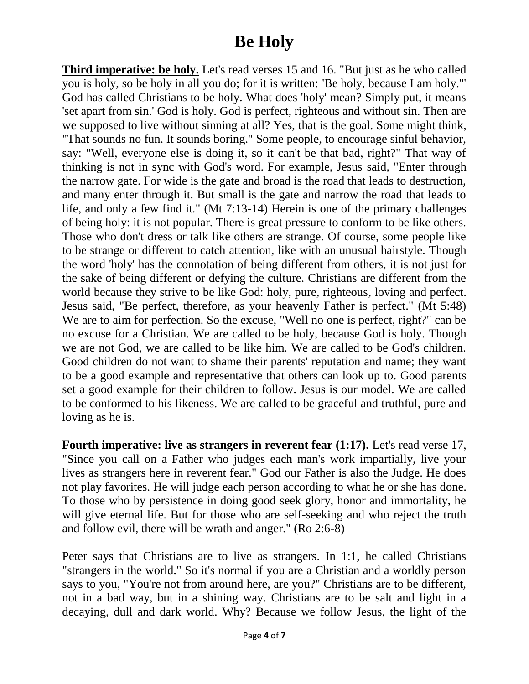**Third imperative: be holy.** Let's read verses 15 and 16. "But just as he who called you is holy, so be holy in all you do; for it is written: 'Be holy, because I am holy.'" God has called Christians to be holy. What does 'holy' mean? Simply put, it means 'set apart from sin.' God is holy. God is perfect, righteous and without sin. Then are we supposed to live without sinning at all? Yes, that is the goal. Some might think, "That sounds no fun. It sounds boring." Some people, to encourage sinful behavior, say: "Well, everyone else is doing it, so it can't be that bad, right?" That way of thinking is not in sync with God's word. For example, Jesus said, "Enter through the narrow gate. For wide is the gate and broad is the road that leads to destruction, and many enter through it. But small is the gate and narrow the road that leads to life, and only a few find it." (Mt 7:13-14) Herein is one of the primary challenges of being holy: it is not popular. There is great pressure to conform to be like others. Those who don't dress or talk like others are strange. Of course, some people like to be strange or different to catch attention, like with an unusual hairstyle. Though the word 'holy' has the connotation of being different from others, it is not just for the sake of being different or defying the culture. Christians are different from the world because they strive to be like God: holy, pure, righteous, loving and perfect. Jesus said, "Be perfect, therefore, as your heavenly Father is perfect." (Mt 5:48) We are to aim for perfection. So the excuse, "Well no one is perfect, right?" can be no excuse for a Christian. We are called to be holy, because God is holy. Though we are not God, we are called to be like him. We are called to be God's children. Good children do not want to shame their parents' reputation and name; they want to be a good example and representative that others can look up to. Good parents set a good example for their children to follow. Jesus is our model. We are called to be conformed to his likeness. We are called to be graceful and truthful, pure and loving as he is.

**Fourth imperative: live as strangers in reverent fear (1:17).** Let's read verse 17, "Since you call on a Father who judges each man's work impartially, live your lives as strangers here in reverent fear." God our Father is also the Judge. He does not play favorites. He will judge each person according to what he or she has done. To those who by persistence in doing good seek glory, honor and immortality, he will give eternal life. But for those who are self-seeking and who reject the truth and follow evil, there will be wrath and anger." (Ro 2:6-8)

Peter says that Christians are to live as strangers. In 1:1, he called Christians "strangers in the world." So it's normal if you are a Christian and a worldly person says to you, "You're not from around here, are you?" Christians are to be different, not in a bad way, but in a shining way. Christians are to be salt and light in a decaying, dull and dark world. Why? Because we follow Jesus, the light of the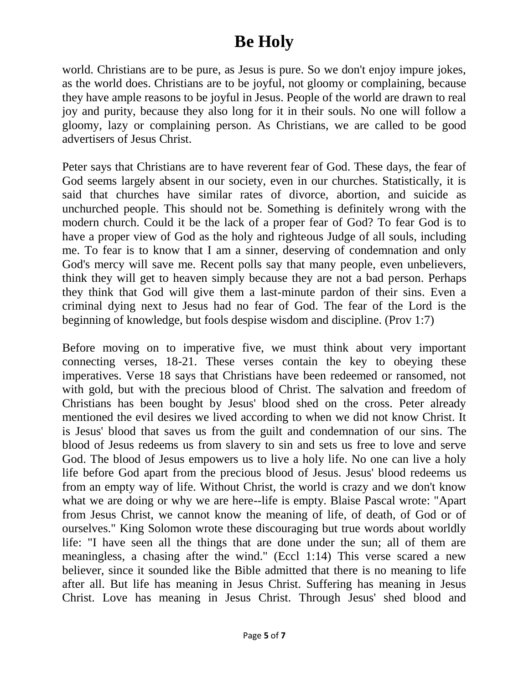world. Christians are to be pure, as Jesus is pure. So we don't enjoy impure jokes, as the world does. Christians are to be joyful, not gloomy or complaining, because they have ample reasons to be joyful in Jesus. People of the world are drawn to real joy and purity, because they also long for it in their souls. No one will follow a gloomy, lazy or complaining person. As Christians, we are called to be good advertisers of Jesus Christ.

Peter says that Christians are to have reverent fear of God. These days, the fear of God seems largely absent in our society, even in our churches. Statistically, it is said that churches have similar rates of divorce, abortion, and suicide as unchurched people. This should not be. Something is definitely wrong with the modern church. Could it be the lack of a proper fear of God? To fear God is to have a proper view of God as the holy and righteous Judge of all souls, including me. To fear is to know that I am a sinner, deserving of condemnation and only God's mercy will save me. Recent polls say that many people, even unbelievers, think they will get to heaven simply because they are not a bad person. Perhaps they think that God will give them a last-minute pardon of their sins. Even a criminal dying next to Jesus had no fear of God. The fear of the Lord is the beginning of knowledge, but fools despise wisdom and discipline. (Prov 1:7)

Before moving on to imperative five, we must think about very important connecting verses, 18-21. These verses contain the key to obeying these imperatives. Verse 18 says that Christians have been redeemed or ransomed, not with gold, but with the precious blood of Christ. The salvation and freedom of Christians has been bought by Jesus' blood shed on the cross. Peter already mentioned the evil desires we lived according to when we did not know Christ. It is Jesus' blood that saves us from the guilt and condemnation of our sins. The blood of Jesus redeems us from slavery to sin and sets us free to love and serve God. The blood of Jesus empowers us to live a holy life. No one can live a holy life before God apart from the precious blood of Jesus. Jesus' blood redeems us from an empty way of life. Without Christ, the world is crazy and we don't know what we are doing or why we are here--life is empty. Blaise Pascal wrote: "Apart from Jesus Christ, we cannot know the meaning of life, of death, of God or of ourselves." King Solomon wrote these discouraging but true words about worldly life: "I have seen all the things that are done under the sun; all of them are meaningless, a chasing after the wind." (Eccl 1:14) This verse scared a new believer, since it sounded like the Bible admitted that there is no meaning to life after all. But life has meaning in Jesus Christ. Suffering has meaning in Jesus Christ. Love has meaning in Jesus Christ. Through Jesus' shed blood and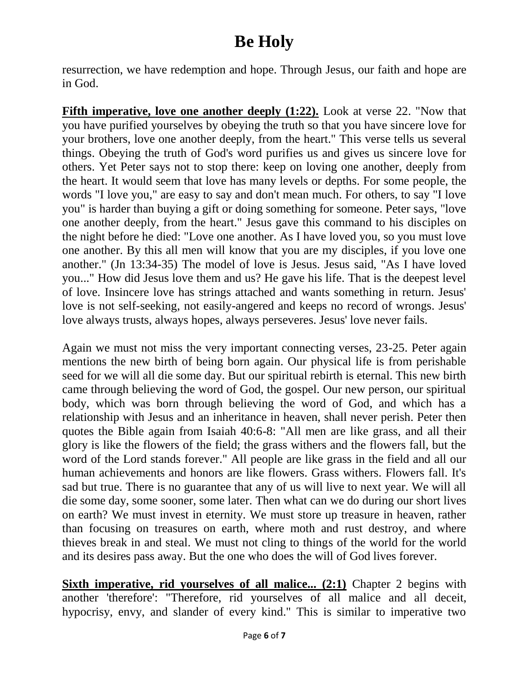resurrection, we have redemption and hope. Through Jesus, our faith and hope are in God.

**Fifth imperative, love one another deeply (1:22).** Look at verse 22. "Now that you have purified yourselves by obeying the truth so that you have sincere love for your brothers, love one another deeply, from the heart." This verse tells us several things. Obeying the truth of God's word purifies us and gives us sincere love for others. Yet Peter says not to stop there: keep on loving one another, deeply from the heart. It would seem that love has many levels or depths. For some people, the words "I love you," are easy to say and don't mean much. For others, to say "I love you" is harder than buying a gift or doing something for someone. Peter says, "love one another deeply, from the heart." Jesus gave this command to his disciples on the night before he died: "Love one another. As I have loved you, so you must love one another. By this all men will know that you are my disciples, if you love one another." (Jn 13:34-35) The model of love is Jesus. Jesus said, "As I have loved you..." How did Jesus love them and us? He gave his life. That is the deepest level of love. Insincere love has strings attached and wants something in return. Jesus' love is not self-seeking, not easily-angered and keeps no record of wrongs. Jesus' love always trusts, always hopes, always perseveres. Jesus' love never fails.

Again we must not miss the very important connecting verses, 23-25. Peter again mentions the new birth of being born again. Our physical life is from perishable seed for we will all die some day. But our spiritual rebirth is eternal. This new birth came through believing the word of God, the gospel. Our new person, our spiritual body, which was born through believing the word of God, and which has a relationship with Jesus and an inheritance in heaven, shall never perish. Peter then quotes the Bible again from Isaiah 40:6-8: "All men are like grass, and all their glory is like the flowers of the field; the grass withers and the flowers fall, but the word of the Lord stands forever." All people are like grass in the field and all our human achievements and honors are like flowers. Grass withers. Flowers fall. It's sad but true. There is no guarantee that any of us will live to next year. We will all die some day, some sooner, some later. Then what can we do during our short lives on earth? We must invest in eternity. We must store up treasure in heaven, rather than focusing on treasures on earth, where moth and rust destroy, and where thieves break in and steal. We must not cling to things of the world for the world and its desires pass away. But the one who does the will of God lives forever.

**Sixth imperative, rid yourselves of all malice... (2:1)** Chapter 2 begins with another 'therefore': "Therefore, rid yourselves of all malice and all deceit, hypocrisy, envy, and slander of every kind." This is similar to imperative two